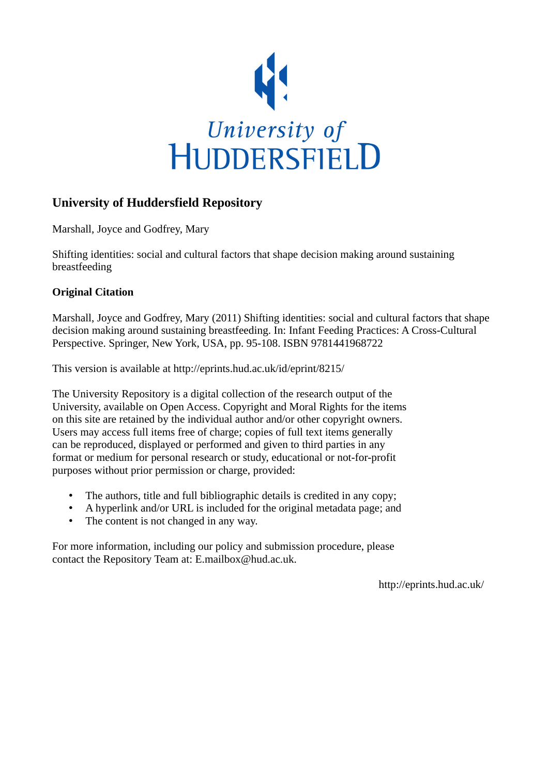

# **University of Huddersfield Repository**

Marshall, Joyce and Godfrey, Mary

Shifting identities: social and cultural factors that shape decision making around sustaining breastfeeding

## **Original Citation**

Marshall, Joyce and Godfrey, Mary (2011) Shifting identities: social and cultural factors that shape decision making around sustaining breastfeeding. In: Infant Feeding Practices: A Cross-Cultural Perspective. Springer, New York, USA, pp. 95-108. ISBN 9781441968722

This version is available at http://eprints.hud.ac.uk/id/eprint/8215/

The University Repository is a digital collection of the research output of the University, available on Open Access. Copyright and Moral Rights for the items on this site are retained by the individual author and/or other copyright owners. Users may access full items free of charge; copies of full text items generally can be reproduced, displayed or performed and given to third parties in any format or medium for personal research or study, educational or not-for-profit purposes without prior permission or charge, provided:

- The authors, title and full bibliographic details is credited in any copy;
- A hyperlink and/or URL is included for the original metadata page; and
- The content is not changed in any way.

For more information, including our policy and submission procedure, please contact the Repository Team at: E.mailbox@hud.ac.uk.

http://eprints.hud.ac.uk/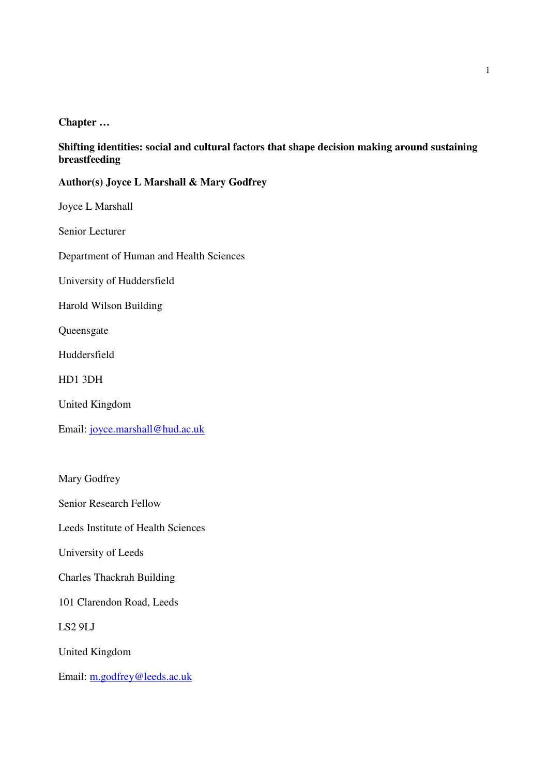## **Chapter …**

## **Shifting identities: social and cultural factors that shape decision making around sustaining breastfeeding**

**Author(s) Joyce L Marshall & Mary Godfrey**

Joyce L Marshall

Senior Lecturer

Department of Human and Health Sciences

University of Huddersfield

Harold Wilson Building

Queensgate

Huddersfield

HD1 3DH

United Kingdom

Email: joyce.marshall@hud.ac.uk

Mary Godfrey

Senior Research Fellow

Leeds Institute of Health Sciences

University of Leeds

Charles Thackrah Building

101 Clarendon Road, Leeds

LS2 9LJ

United Kingdom

Email: m.godfrey@leeds.ac.uk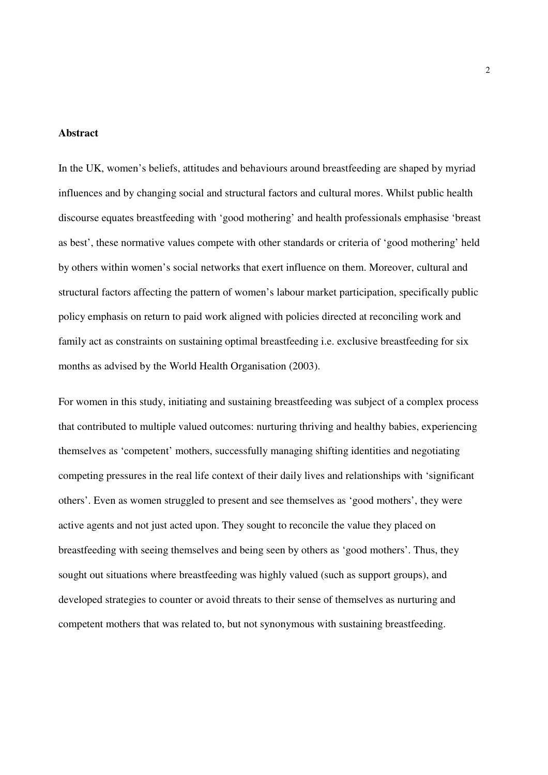### **Abstract**

In the UK, women's beliefs, attitudes and behaviours around breastfeeding are shaped by myriad influences and by changing social and structural factors and cultural mores. Whilst public health discourse equates breastfeeding with 'good mothering' and health professionals emphasise 'breast as best', these normative values compete with other standards or criteria of 'good mothering' held by others within women's social networks that exert influence on them. Moreover, cultural and structural factors affecting the pattern of women's labour market participation, specifically public policy emphasis on return to paid work aligned with policies directed at reconciling work and family act as constraints on sustaining optimal breastfeeding i.e. exclusive breastfeeding for six months as advised by the World Health Organisation (2003).

For women in this study, initiating and sustaining breastfeeding was subject of a complex process that contributed to multiple valued outcomes: nurturing thriving and healthy babies, experiencing themselves as 'competent' mothers, successfully managing shifting identities and negotiating competing pressures in the real life context of their daily lives and relationships with 'significant others'. Even as women struggled to present and see themselves as 'good mothers', they were active agents and not just acted upon. They sought to reconcile the value they placed on breastfeeding with seeing themselves and being seen by others as 'good mothers'. Thus, they sought out situations where breastfeeding was highly valued (such as support groups), and developed strategies to counter or avoid threats to their sense of themselves as nurturing and competent mothers that was related to, but not synonymous with sustaining breastfeeding.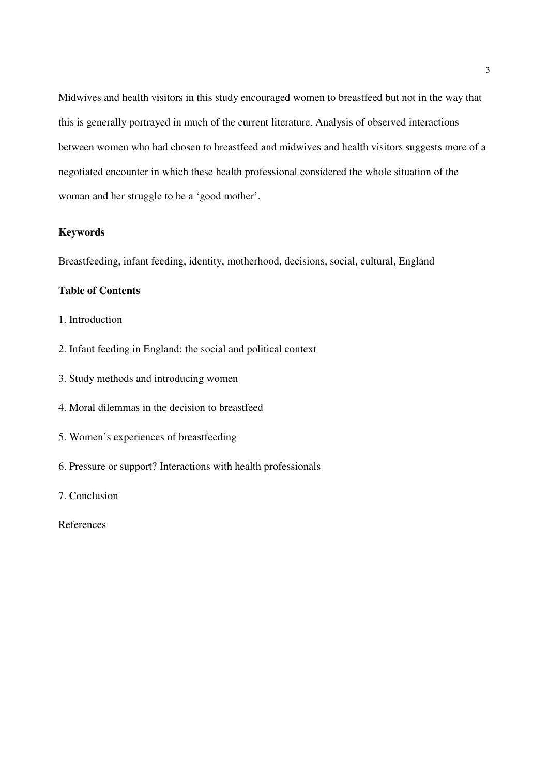Midwives and health visitors in this study encouraged women to breastfeed but not in the way that this is generally portrayed in much of the current literature. Analysis of observed interactions between women who had chosen to breastfeed and midwives and health visitors suggests more of a negotiated encounter in which these health professional considered the whole situation of the woman and her struggle to be a 'good mother'.

## **Keywords**

Breastfeeding, infant feeding, identity, motherhood, decisions, social, cultural, England

## **Table of Contents**

- 1. Introduction
- 2. Infant feeding in England: the social and political context
- 3. Study methods and introducing women
- 4. Moral dilemmas in the decision to breastfeed
- 5. Women's experiences of breastfeeding
- 6. Pressure or support? Interactions with health professionals
- 7. Conclusion

References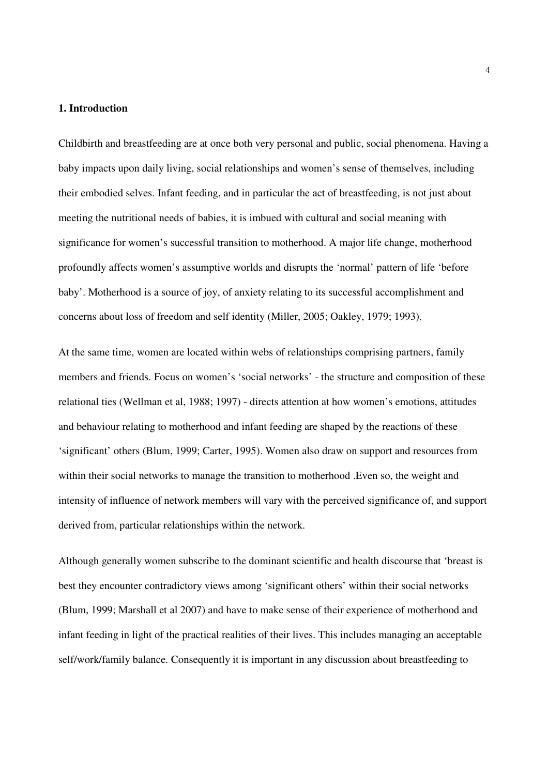## **1. Introduction**

Childbirth and breastfeeding are at once both very personal and public, social phenomena. Having a baby impacts upon daily living, social relationships and women's sense of themselves, including their embodied selves. Infant feeding, and in particular the act of breastfeeding, is not just about meeting the nutritional needs of babies, it is imbued with cultural and social meaning with significance for women's successful transition to motherhood. A major life change, motherhood profoundly affects women's assumptive worlds and disrupts the 'normal' pattern of life 'before baby'. Motherhood is a source of joy, of anxiety relating to its successful accomplishment and concerns about loss of freedom and self identity (Miller, 2005; Oakley, 1979; 1993).

At the same time, women are located within webs of relationships comprising partners, family members and friends. Focus on women's 'social networks' - the structure and composition of these relational ties (Wellman et al, 1988; 1997) - directs attention at how women's emotions, attitudes and behaviour relating to motherhood and infant feeding are shaped by the reactions of these 'significant' others (Blum, 1999; Carter, 1995). Women also draw on support and resources from within their social networks to manage the transition to motherhood .Even so, the weight and intensity of influence of network members will vary with the perceived significance of, and support derived from, particular relationships within the network.

Although generally women subscribe to the dominant scientific and health discourse that 'breast is best they encounter contradictory views among 'significant others' within their social networks (Blum, 1999; Marshall et al 2007) and have to make sense of their experience of motherhood and infant feeding in light of the practical realities of their lives. This includes managing an acceptable self/work/family balance. Consequently it is important in any discussion about breastfeeding to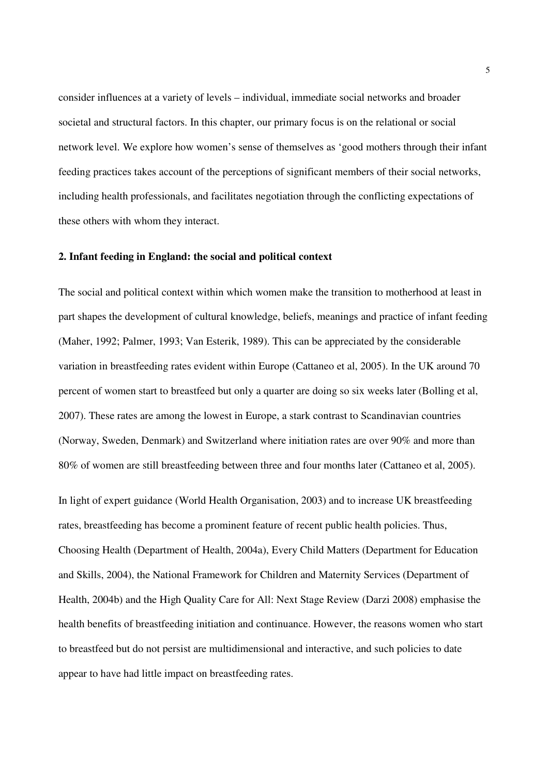consider influences at a variety of levels – individual, immediate social networks and broader societal and structural factors. In this chapter, our primary focus is on the relational or social network level. We explore how women's sense of themselves as 'good mothers through their infant feeding practices takes account of the perceptions of significant members of their social networks, including health professionals, and facilitates negotiation through the conflicting expectations of these others with whom they interact.

## **2. Infant feeding in England: the social and political context**

The social and political context within which women make the transition to motherhood at least in part shapes the development of cultural knowledge, beliefs, meanings and practice of infant feeding (Maher, 1992; Palmer, 1993; Van Esterik, 1989). This can be appreciated by the considerable variation in breastfeeding rates evident within Europe (Cattaneo et al, 2005). In the UK around 70 percent of women start to breastfeed but only a quarter are doing so six weeks later (Bolling et al, 2007). These rates are among the lowest in Europe, a stark contrast to Scandinavian countries (Norway, Sweden, Denmark) and Switzerland where initiation rates are over 90% and more than 80% of women are still breastfeeding between three and four months later (Cattaneo et al, 2005).

In light of expert guidance (World Health Organisation, 2003) and to increase UK breastfeeding rates, breastfeeding has become a prominent feature of recent public health policies. Thus, Choosing Health (Department of Health, 2004a), Every Child Matters (Department for Education and Skills, 2004), the National Framework for Children and Maternity Services (Department of Health, 2004b) and the High Quality Care for All: Next Stage Review (Darzi 2008) emphasise the health benefits of breastfeeding initiation and continuance. However, the reasons women who start to breastfeed but do not persist are multidimensional and interactive, and such policies to date appear to have had little impact on breastfeeding rates.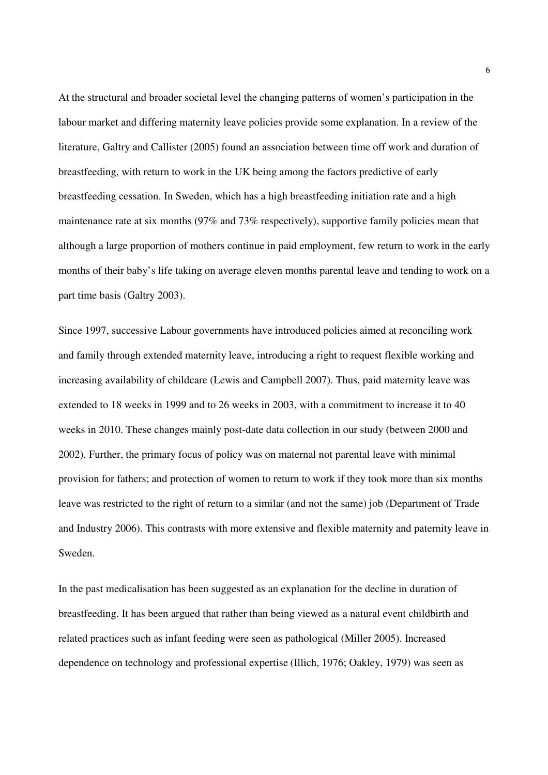At the structural and broader societal level the changing patterns of women's participation in the labour market and differing maternity leave policies provide some explanation. In a review of the literature, Galtry and Callister (2005) found an association between time off work and duration of breastfeeding, with return to work in the UK being among the factors predictive of early breastfeeding cessation. In Sweden, which has a high breastfeeding initiation rate and a high maintenance rate at six months (97% and 73% respectively), supportive family policies mean that although a large proportion of mothers continue in paid employment, few return to work in the early months of their baby's life taking on average eleven months parental leave and tending to work on a part time basis (Galtry 2003).

Since 1997, successive Labour governments have introduced policies aimed at reconciling work and family through extended maternity leave, introducing a right to request flexible working and increasing availability of childcare (Lewis and Campbell 2007). Thus, paid maternity leave was extended to 18 weeks in 1999 and to 26 weeks in 2003, with a commitment to increase it to 40 weeks in 2010. These changes mainly post-date data collection in our study (between 2000 and 2002). Further, the primary focus of policy was on maternal not parental leave with minimal provision for fathers; and protection of women to return to work if they took more than six months leave was restricted to the right of return to a similar (and not the same) job (Department of Trade and Industry 2006). This contrasts with more extensive and flexible maternity and paternity leave in Sweden.

In the past medicalisation has been suggested as an explanation for the decline in duration of breastfeeding. It has been argued that rather than being viewed as a natural event childbirth and related practices such as infant feeding were seen as pathological (Miller 2005). Increased dependence on technology and professional expertise (Illich, 1976; Oakley, 1979) was seen as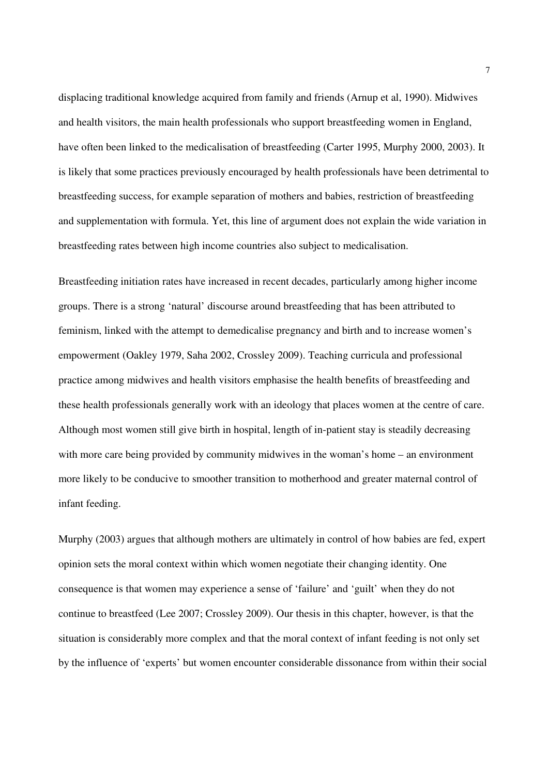displacing traditional knowledge acquired from family and friends (Arnup et al, 1990). Midwives and health visitors, the main health professionals who support breastfeeding women in England, have often been linked to the medicalisation of breastfeeding (Carter 1995, Murphy 2000, 2003). It is likely that some practices previously encouraged by health professionals have been detrimental to breastfeeding success, for example separation of mothers and babies, restriction of breastfeeding and supplementation with formula. Yet, this line of argument does not explain the wide variation in breastfeeding rates between high income countries also subject to medicalisation.

Breastfeeding initiation rates have increased in recent decades, particularly among higher income groups. There is a strong 'natural' discourse around breastfeeding that has been attributed to feminism, linked with the attempt to demedicalise pregnancy and birth and to increase women's empowerment (Oakley 1979, Saha 2002, Crossley 2009). Teaching curricula and professional practice among midwives and health visitors emphasise the health benefits of breastfeeding and these health professionals generally work with an ideology that places women at the centre of care. Although most women still give birth in hospital, length of in-patient stay is steadily decreasing with more care being provided by community midwives in the woman's home – an environment more likely to be conducive to smoother transition to motherhood and greater maternal control of infant feeding.

Murphy (2003) argues that although mothers are ultimately in control of how babies are fed, expert opinion sets the moral context within which women negotiate their changing identity. One consequence is that women may experience a sense of 'failure' and 'guilt' when they do not continue to breastfeed (Lee 2007; Crossley 2009). Our thesis in this chapter, however, is that the situation is considerably more complex and that the moral context of infant feeding is not only set by the influence of 'experts' but women encounter considerable dissonance from within their social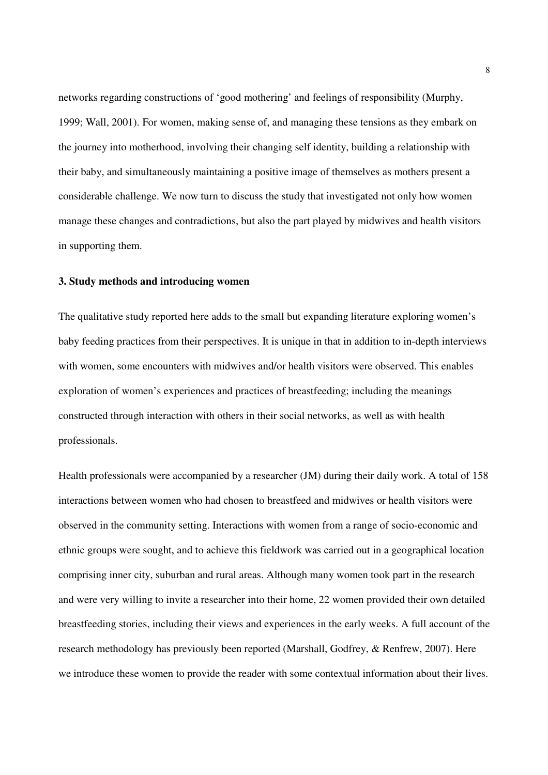networks regarding constructions of 'good mothering' and feelings of responsibility (Murphy, 1999; Wall, 2001). For women, making sense of, and managing these tensions as they embark on the journey into motherhood, involving their changing self identity, building a relationship with their baby, and simultaneously maintaining a positive image of themselves as mothers present a considerable challenge. We now turn to discuss the study that investigated not only how women manage these changes and contradictions, but also the part played by midwives and health visitors in supporting them.

#### **3. Study methods and introducing women**

The qualitative study reported here adds to the small but expanding literature exploring women's baby feeding practices from their perspectives. It is unique in that in addition to in-depth interviews with women, some encounters with midwives and/or health visitors were observed. This enables exploration of women's experiences and practices of breastfeeding; including the meanings constructed through interaction with others in their social networks, as well as with health professionals.

Health professionals were accompanied by a researcher (JM) during their daily work. A total of 158 interactions between women who had chosen to breastfeed and midwives or health visitors were observed in the community setting. Interactions with women from a range of socio-economic and ethnic groups were sought, and to achieve this fieldwork was carried out in a geographical location comprising inner city, suburban and rural areas. Although many women took part in the research and were very willing to invite a researcher into their home, 22 women provided their own detailed breastfeeding stories, including their views and experiences in the early weeks. A full account of the research methodology has previously been reported (Marshall, Godfrey, & Renfrew, 2007). Here we introduce these women to provide the reader with some contextual information about their lives.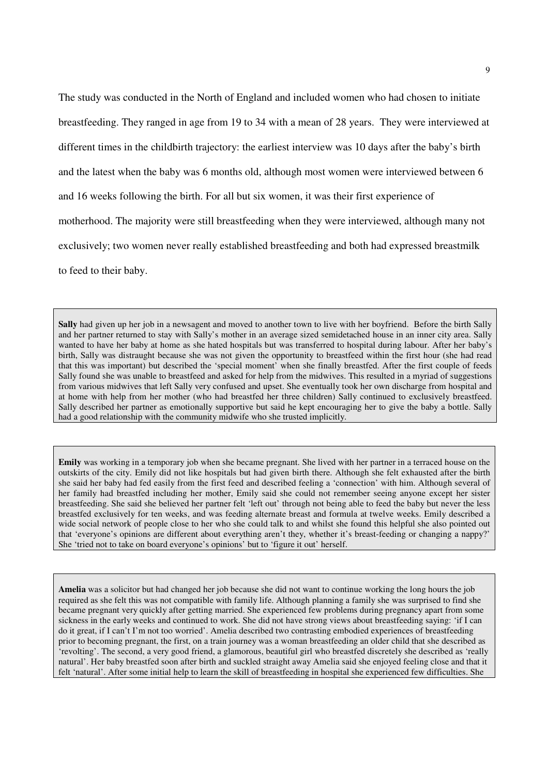The study was conducted in the North of England and included women who had chosen to initiate breastfeeding. They ranged in age from 19 to 34 with a mean of 28 years. They were interviewed at different times in the childbirth trajectory: the earliest interview was 10 days after the baby's birth and the latest when the baby was 6 months old, although most women were interviewed between 6 and 16 weeks following the birth. For all but six women, it was their first experience of motherhood. The majority were still breastfeeding when they were interviewed, although many not exclusively; two women never really established breastfeeding and both had expressed breastmilk to feed to their baby.

**Sally** had given up her job in a newsagent and moved to another town to live with her boyfriend. Before the birth Sally and her partner returned to stay with Sally's mother in an average sized semidetached house in an inner city area. Sally wanted to have her baby at home as she hated hospitals but was transferred to hospital during labour. After her baby's birth, Sally was distraught because she was not given the opportunity to breastfeed within the first hour (she had read that this was important) but described the 'special moment' when she finally breastfed. After the first couple of feeds Sally found she was unable to breastfeed and asked for help from the midwives. This resulted in a myriad of suggestions from various midwives that left Sally very confused and upset. She eventually took her own discharge from hospital and at home with help from her mother (who had breastfed her three children) Sally continued to exclusively breastfeed. Sally described her partner as emotionally supportive but said he kept encouraging her to give the baby a bottle. Sally had a good relationship with the community midwife who she trusted implicitly.

**Emily** was working in a temporary job when she became pregnant. She lived with her partner in a terraced house on the outskirts of the city. Emily did not like hospitals but had given birth there. Although she felt exhausted after the birth she said her baby had fed easily from the first feed and described feeling a 'connection' with him. Although several of her family had breastfed including her mother, Emily said she could not remember seeing anyone except her sister breastfeeding. She said she believed her partner felt 'left out' through not being able to feed the baby but never the less breastfed exclusively for ten weeks, and was feeding alternate breast and formula at twelve weeks. Emily described a wide social network of people close to her who she could talk to and whilst she found this helpful she also pointed out that 'everyone's opinions are different about everything aren't they, whether it's breast-feeding or changing a nappy?' She 'tried not to take on board everyone's opinions' but to 'figure it out' herself.

**Amelia** was a solicitor but had changed her job because she did not want to continue working the long hours the job required as she felt this was not compatible with family life. Although planning a family she was surprised to find she became pregnant very quickly after getting married. She experienced few problems during pregnancy apart from some sickness in the early weeks and continued to work. She did not have strong views about breastfeeding saying: 'if I can do it great, if I can't I'm not too worried'. Amelia described two contrasting embodied experiences of breastfeeding prior to becoming pregnant, the first, on a train journey was a woman breastfeeding an older child that she described as 'revolting'. The second, a very good friend, a glamorous, beautiful girl who breastfed discretely she described as 'really natural'. Her baby breastfed soon after birth and suckled straight away Amelia said she enjoyed feeling close and that it felt 'natural'. After some initial help to learn the skill of breastfeeding in hospital she experienced few difficulties. She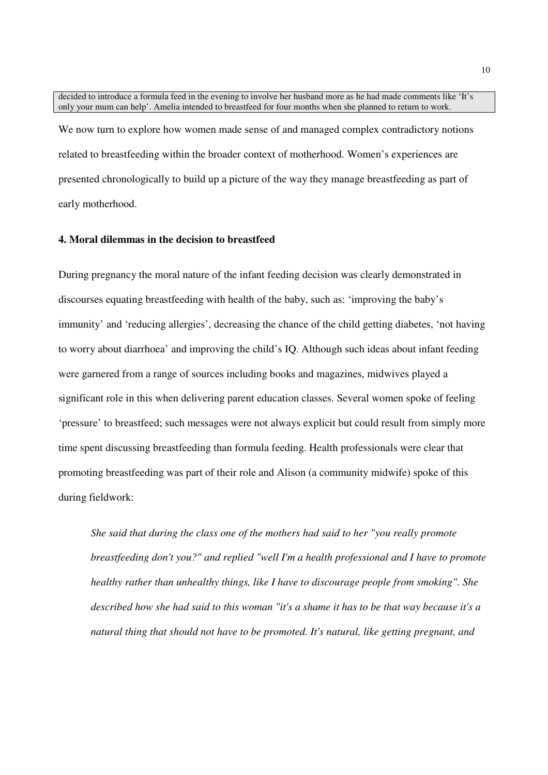decided to introduce a formula feed in the evening to involve her husband more as he had made comments like 'It's only your mum can help'. Amelia intended to breastfeed for four months when she planned to return to work. We now turn to explore how women made sense of and managed complex contradictory notions related to breastfeeding within the broader context of motherhood. Women's experiences are presented chronologically to build up a picture of the way they manage breastfeeding as part of early motherhood.

#### **4. Moral dilemmas in the decision to breastfeed**

During pregnancy the moral nature of the infant feeding decision was clearly demonstrated in discourses equating breastfeeding with health of the baby, such as: 'improving the baby's immunity' and 'reducing allergies', decreasing the chance of the child getting diabetes, 'not having to worry about diarrhoea' and improving the child's IQ. Although such ideas about infant feeding were garnered from a range of sources including books and magazines, midwives played a significant role in this when delivering parent education classes. Several women spoke of feeling 'pressure' to breastfeed; such messages were not always explicit but could result from simply more time spent discussing breastfeeding than formula feeding. Health professionals were clear that promoting breastfeeding was part of their role and Alison (a community midwife) spoke of this during fieldwork:

*She said that during the class one of the mothers had said to her "you really promote breastfeeding don't you?" and replied "well I'm a health professional and I have to promote healthy rather than unhealthy things, like I have to discourage people from smoking". She described how she had said to this woman "it's a shame it has to be that way because it's a natural thing that should not have to be promoted. It's natural, like getting pregnant, and*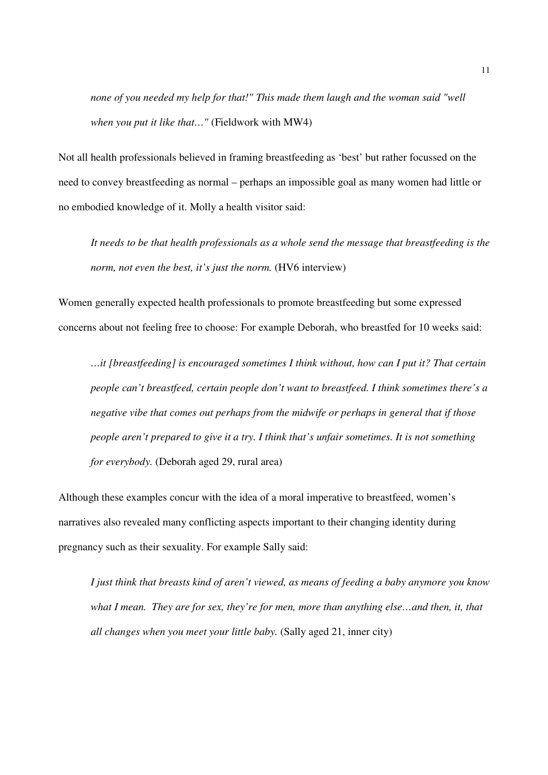*none of you needed my help for that!" This made them laugh and the woman said "well when you put it like that…"* (Fieldwork with MW4)

Not all health professionals believed in framing breastfeeding as 'best' but rather focussed on the need to convey breastfeeding as normal – perhaps an impossible goal as many women had little or no embodied knowledge of it. Molly a health visitor said:

*It needs to be that health professionals as a whole send the message that breastfeeding is the norm, not even the best, it's just the norm.* (HV6 interview)

Women generally expected health professionals to promote breastfeeding but some expressed concerns about not feeling free to choose: For example Deborah, who breastfed for 10 weeks said:

*…it [breastfeeding] is encouraged sometimes I think without, how can I put it? That certain people can't breastfeed, certain people don't want to breastfeed. I think sometimes there's a negative vibe that comes out perhaps from the midwife or perhaps in general that if those people aren't prepared to give it a try. I think that's unfair sometimes. It is not something for everybody.* (Deborah aged 29, rural area)

Although these examples concur with the idea of a moral imperative to breastfeed, women's narratives also revealed many conflicting aspects important to their changing identity during pregnancy such as their sexuality. For example Sally said:

*I just think that breasts kind of aren't viewed, as means of feeding a baby anymore you know what I mean. They are for sex, they're for men, more than anything else…and then, it, that all changes when you meet your little baby.* (Sally aged 21, inner city)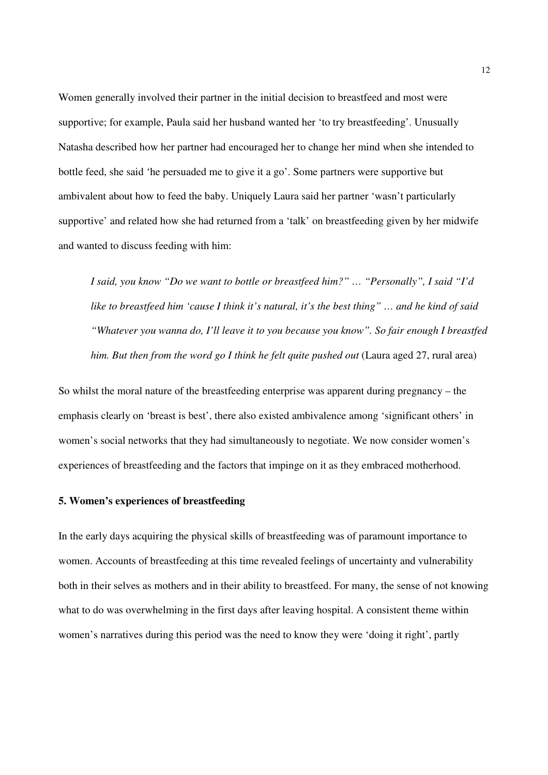Women generally involved their partner in the initial decision to breastfeed and most were supportive; for example, Paula said her husband wanted her 'to try breastfeeding'. Unusually Natasha described how her partner had encouraged her to change her mind when she intended to bottle feed, she said 'he persuaded me to give it a go'. Some partners were supportive but ambivalent about how to feed the baby. Uniquely Laura said her partner 'wasn't particularly supportive' and related how she had returned from a 'talk' on breastfeeding given by her midwife and wanted to discuss feeding with him:

*I said, you know "Do we want to bottle or breastfeed him?" … "Personally", I said "I'd like to breastfeed him 'cause I think it's natural, it's the best thing" … and he kind of said "Whatever you wanna do, I'll leave it to you because you know". So fair enough I breastfed him. But then from the word go I think he felt quite pushed out* (Laura aged 27, rural area)

So whilst the moral nature of the breastfeeding enterprise was apparent during pregnancy – the emphasis clearly on 'breast is best', there also existed ambivalence among 'significant others' in women's social networks that they had simultaneously to negotiate. We now consider women's experiences of breastfeeding and the factors that impinge on it as they embraced motherhood.

### **5. Women's experiences of breastfeeding**

In the early days acquiring the physical skills of breastfeeding was of paramount importance to women. Accounts of breastfeeding at this time revealed feelings of uncertainty and vulnerability both in their selves as mothers and in their ability to breastfeed. For many, the sense of not knowing what to do was overwhelming in the first days after leaving hospital. A consistent theme within women's narratives during this period was the need to know they were 'doing it right', partly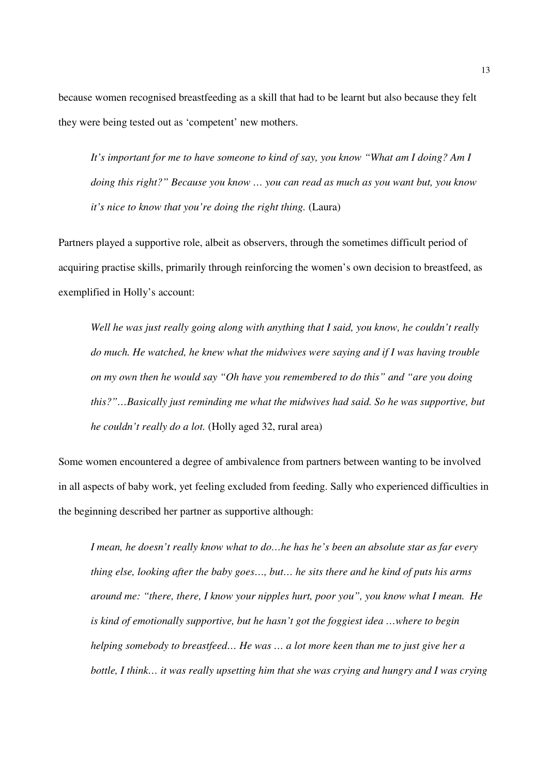because women recognised breastfeeding as a skill that had to be learnt but also because they felt they were being tested out as 'competent' new mothers.

*It's important for me to have someone to kind of say, you know "What am I doing? Am I doing this right?" Because you know … you can read as much as you want but, you know it's nice to know that you're doing the right thing.* (Laura)

Partners played a supportive role, albeit as observers, through the sometimes difficult period of acquiring practise skills, primarily through reinforcing the women's own decision to breastfeed, as exemplified in Holly's account:

*Well he was just really going along with anything that I said, you know, he couldn't really do much. He watched, he knew what the midwives were saying and if I was having trouble on my own then he would say "Oh have you remembered to do this" and "are you doing this?"…Basically just reminding me what the midwives had said. So he was supportive, but he couldn't really do a lot.* (Holly aged 32, rural area)

Some women encountered a degree of ambivalence from partners between wanting to be involved in all aspects of baby work, yet feeling excluded from feeding. Sally who experienced difficulties in the beginning described her partner as supportive although:

*I mean, he doesn't really know what to do…he has he's been an absolute star as far every thing else, looking after the baby goes…, but… he sits there and he kind of puts his arms around me: "there, there, I know your nipples hurt, poor you", you know what I mean. He is kind of emotionally supportive, but he hasn't got the foggiest idea …where to begin helping somebody to breastfeed… He was … a lot more keen than me to just give her a bottle, I think… it was really upsetting him that she was crying and hungry and I was crying*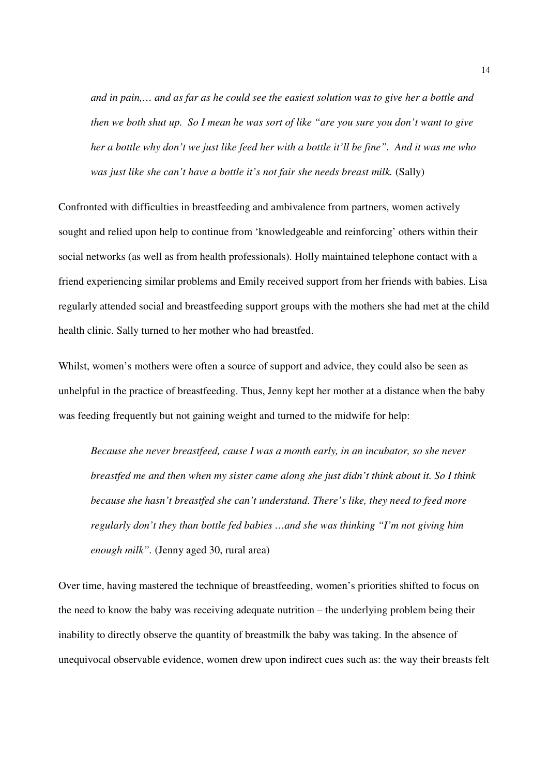*and in pain,… and as far as he could see the easiest solution was to give her a bottle and then we both shut up. So I mean he was sort of like "are you sure you don't want to give her a bottle why don't we just like feed her with a bottle it'll be fine". And it was me who*  was just like she can't have a bottle it's not fair she needs breast milk. (Sally)

Confronted with difficulties in breastfeeding and ambivalence from partners, women actively sought and relied upon help to continue from 'knowledgeable and reinforcing' others within their social networks (as well as from health professionals). Holly maintained telephone contact with a friend experiencing similar problems and Emily received support from her friends with babies. Lisa regularly attended social and breastfeeding support groups with the mothers she had met at the child health clinic. Sally turned to her mother who had breastfed.

Whilst, women's mothers were often a source of support and advice, they could also be seen as unhelpful in the practice of breastfeeding. Thus, Jenny kept her mother at a distance when the baby was feeding frequently but not gaining weight and turned to the midwife for help:

*Because she never breastfeed, cause I was a month early, in an incubator, so she never breastfed me and then when my sister came along she just didn't think about it. So I think because she hasn't breastfed she can't understand. There's like, they need to feed more regularly don't they than bottle fed babies …and she was thinking "I'm not giving him enough milk".* (Jenny aged 30, rural area)

Over time, having mastered the technique of breastfeeding, women's priorities shifted to focus on the need to know the baby was receiving adequate nutrition – the underlying problem being their inability to directly observe the quantity of breastmilk the baby was taking. In the absence of unequivocal observable evidence, women drew upon indirect cues such as: the way their breasts felt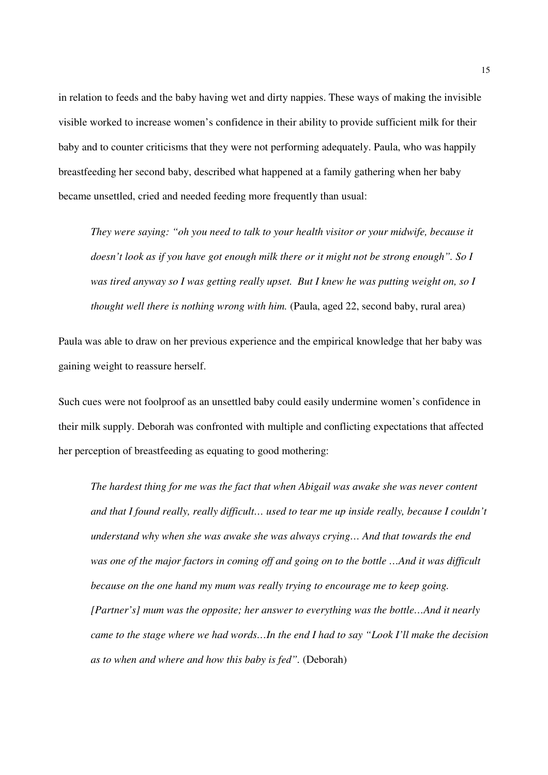in relation to feeds and the baby having wet and dirty nappies. These ways of making the invisible visible worked to increase women's confidence in their ability to provide sufficient milk for their baby and to counter criticisms that they were not performing adequately. Paula, who was happily breastfeeding her second baby, described what happened at a family gathering when her baby became unsettled, cried and needed feeding more frequently than usual:

*They were saying: "oh you need to talk to your health visitor or your midwife, because it doesn't look as if you have got enough milk there or it might not be strong enough". So I was tired anyway so I was getting really upset. But I knew he was putting weight on, so I thought well there is nothing wrong with him.* (Paula, aged 22, second baby, rural area)

Paula was able to draw on her previous experience and the empirical knowledge that her baby was gaining weight to reassure herself.

Such cues were not foolproof as an unsettled baby could easily undermine women's confidence in their milk supply. Deborah was confronted with multiple and conflicting expectations that affected her perception of breastfeeding as equating to good mothering:

*The hardest thing for me was the fact that when Abigail was awake she was never content and that I found really, really difficult… used to tear me up inside really, because I couldn't understand why when she was awake she was always crying… And that towards the end*  was one of the major factors in coming off and going on to the bottle ...And it was difficult *because on the one hand my mum was really trying to encourage me to keep going. [Partner's] mum was the opposite; her answer to everything was the bottle…And it nearly came to the stage where we had words…In the end I had to say "Look I'll make the decision as to when and where and how this baby is fed".* (Deborah)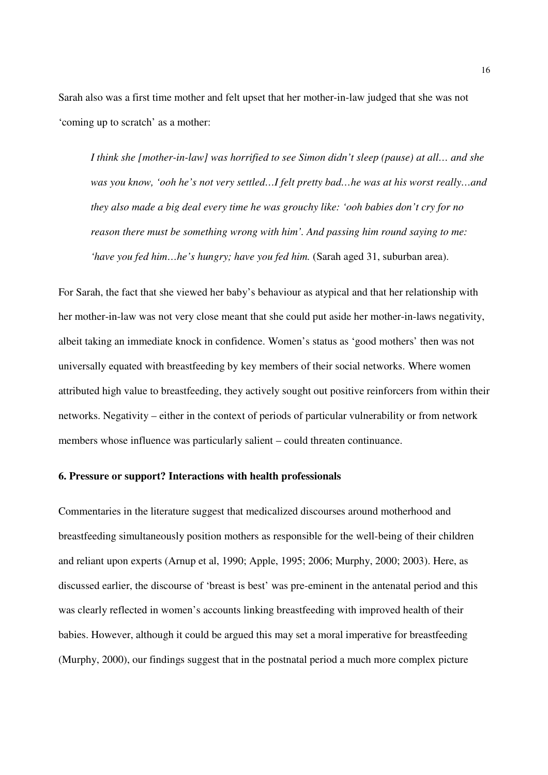Sarah also was a first time mother and felt upset that her mother-in-law judged that she was not 'coming up to scratch' as a mother:

*I think she [mother-in-law] was horrified to see Simon didn't sleep (pause) at all… and she was you know, 'ooh he's not very settled…I felt pretty bad…he was at his worst really…and they also made a big deal every time he was grouchy like: 'ooh babies don't cry for no reason there must be something wrong with him'. And passing him round saying to me: 'have you fed him…he's hungry; have you fed him.* (Sarah aged 31, suburban area).

For Sarah, the fact that she viewed her baby's behaviour as atypical and that her relationship with her mother-in-law was not very close meant that she could put aside her mother-in-laws negativity, albeit taking an immediate knock in confidence. Women's status as 'good mothers' then was not universally equated with breastfeeding by key members of their social networks. Where women attributed high value to breastfeeding, they actively sought out positive reinforcers from within their networks. Negativity – either in the context of periods of particular vulnerability or from network members whose influence was particularly salient – could threaten continuance.

#### **6. Pressure or support? Interactions with health professionals**

Commentaries in the literature suggest that medicalized discourses around motherhood and breastfeeding simultaneously position mothers as responsible for the well-being of their children and reliant upon experts (Arnup et al, 1990; Apple, 1995; 2006; Murphy, 2000; 2003). Here, as discussed earlier, the discourse of 'breast is best' was pre-eminent in the antenatal period and this was clearly reflected in women's accounts linking breastfeeding with improved health of their babies. However, although it could be argued this may set a moral imperative for breastfeeding (Murphy, 2000), our findings suggest that in the postnatal period a much more complex picture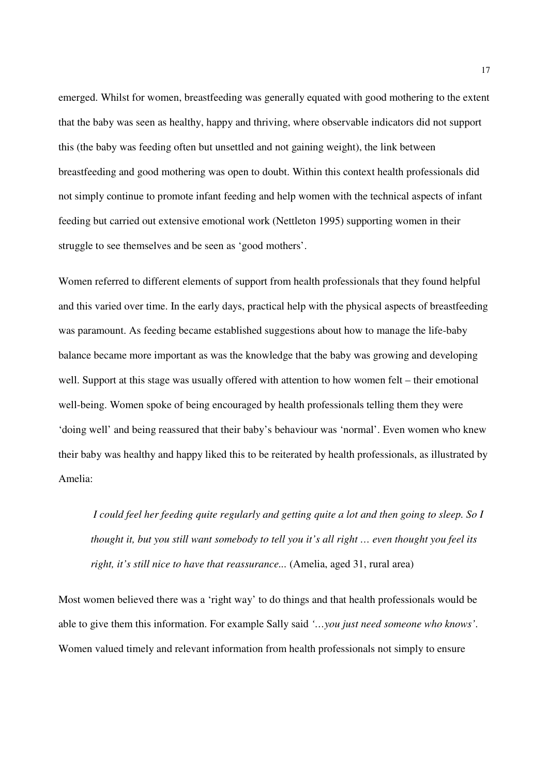emerged. Whilst for women, breastfeeding was generally equated with good mothering to the extent that the baby was seen as healthy, happy and thriving, where observable indicators did not support this (the baby was feeding often but unsettled and not gaining weight), the link between breastfeeding and good mothering was open to doubt. Within this context health professionals did not simply continue to promote infant feeding and help women with the technical aspects of infant feeding but carried out extensive emotional work (Nettleton 1995) supporting women in their struggle to see themselves and be seen as 'good mothers'.

Women referred to different elements of support from health professionals that they found helpful and this varied over time. In the early days, practical help with the physical aspects of breastfeeding was paramount. As feeding became established suggestions about how to manage the life-baby balance became more important as was the knowledge that the baby was growing and developing well. Support at this stage was usually offered with attention to how women felt – their emotional well-being. Women spoke of being encouraged by health professionals telling them they were 'doing well' and being reassured that their baby's behaviour was 'normal'. Even women who knew their baby was healthy and happy liked this to be reiterated by health professionals, as illustrated by Amelia:

 *I could feel her feeding quite regularly and getting quite a lot and then going to sleep. So I thought it, but you still want somebody to tell you it's all right … even thought you feel its right, it's still nice to have that reassurance...* (Amelia, aged 31, rural area)

Most women believed there was a 'right way' to do things and that health professionals would be able to give them this information. For example Sally said *'…you just need someone who knows'*. Women valued timely and relevant information from health professionals not simply to ensure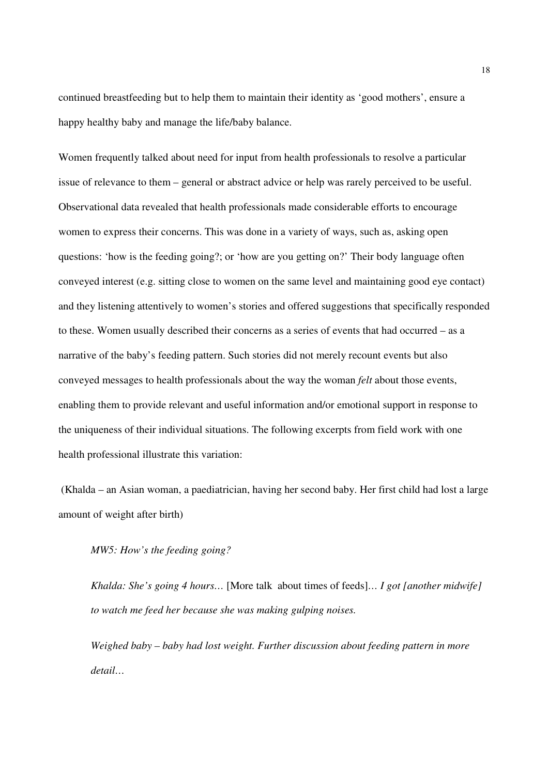continued breastfeeding but to help them to maintain their identity as 'good mothers', ensure a happy healthy baby and manage the life/baby balance.

Women frequently talked about need for input from health professionals to resolve a particular issue of relevance to them – general or abstract advice or help was rarely perceived to be useful. Observational data revealed that health professionals made considerable efforts to encourage women to express their concerns. This was done in a variety of ways, such as, asking open questions: 'how is the feeding going?; or 'how are you getting on?' Their body language often conveyed interest (e.g. sitting close to women on the same level and maintaining good eye contact) and they listening attentively to women's stories and offered suggestions that specifically responded to these. Women usually described their concerns as a series of events that had occurred – as a narrative of the baby's feeding pattern. Such stories did not merely recount events but also conveyed messages to health professionals about the way the woman *felt* about those events, enabling them to provide relevant and useful information and/or emotional support in response to the uniqueness of their individual situations. The following excerpts from field work with one health professional illustrate this variation:

 (Khalda – an Asian woman, a paediatrician, having her second baby. Her first child had lost a large amount of weight after birth)

*MW5: How's the feeding going?* 

*Khalda: She's going 4 hours…* [More talk about times of feeds]*… I got [another midwife] to watch me feed her because she was making gulping noises.* 

*Weighed baby – baby had lost weight. Further discussion about feeding pattern in more detail…*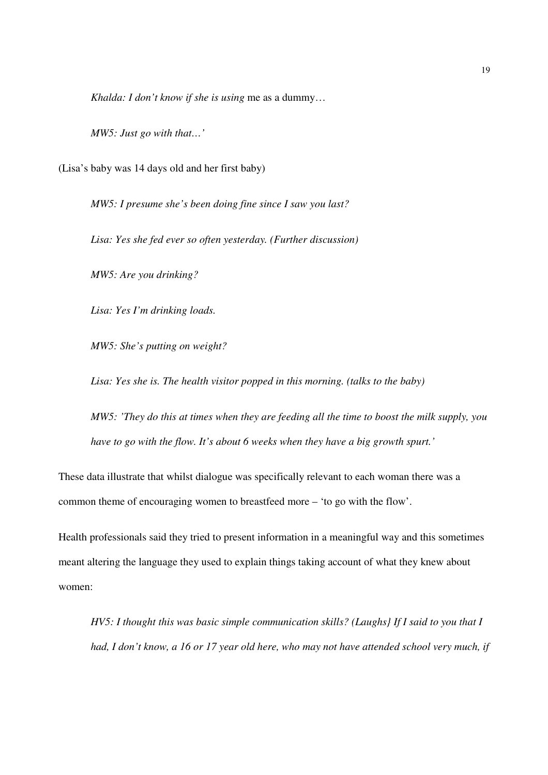*Khalda: I don't know if she is using* me as a dummy…

*MW5: Just go with that…'* 

(Lisa's baby was 14 days old and her first baby)

*MW5: I presume she's been doing fine since I saw you last?* 

*Lisa: Yes she fed ever so often yesterday. (Further discussion)* 

*MW5: Are you drinking?* 

*Lisa: Yes I'm drinking loads.* 

*MW5: She's putting on weight?* 

*Lisa: Yes she is. The health visitor popped in this morning. (talks to the baby)* 

*MW5: 'They do this at times when they are feeding all the time to boost the milk supply, you have to go with the flow. It's about 6 weeks when they have a big growth spurt.'* 

These data illustrate that whilst dialogue was specifically relevant to each woman there was a common theme of encouraging women to breastfeed more – 'to go with the flow'.

Health professionals said they tried to present information in a meaningful way and this sometimes meant altering the language they used to explain things taking account of what they knew about women:

*HV5: I thought this was basic simple communication skills? (Laughs} If I said to you that I had, I don't know, a 16 or 17 year old here, who may not have attended school very much, if*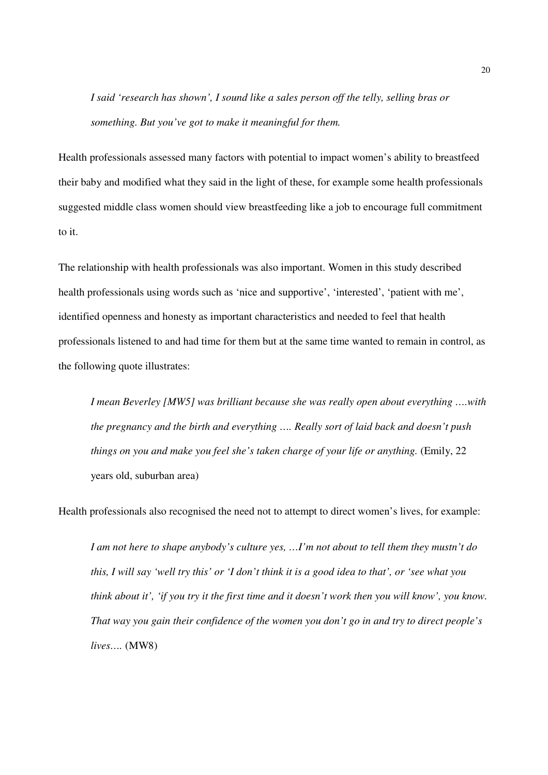*I said 'research has shown', I sound like a sales person off the telly, selling bras or something. But you've got to make it meaningful for them.* 

Health professionals assessed many factors with potential to impact women's ability to breastfeed their baby and modified what they said in the light of these, for example some health professionals suggested middle class women should view breastfeeding like a job to encourage full commitment to it.

The relationship with health professionals was also important. Women in this study described health professionals using words such as 'nice and supportive', 'interested', 'patient with me', identified openness and honesty as important characteristics and needed to feel that health professionals listened to and had time for them but at the same time wanted to remain in control, as the following quote illustrates:

*I mean Beverley [MW5] was brilliant because she was really open about everything ….with the pregnancy and the birth and everything …. Really sort of laid back and doesn't push things on you and make you feel she's taken charge of your life or anything.* (Emily, 22 years old, suburban area)

Health professionals also recognised the need not to attempt to direct women's lives, for example:

*I am not here to shape anybody's culture yes, …I'm not about to tell them they mustn't do this, I will say 'well try this' or 'I don't think it is a good idea to that', or 'see what you think about it', 'if you try it the first time and it doesn't work then you will know', you know. That way you gain their confidence of the women you don't go in and try to direct people's lives….* (MW8)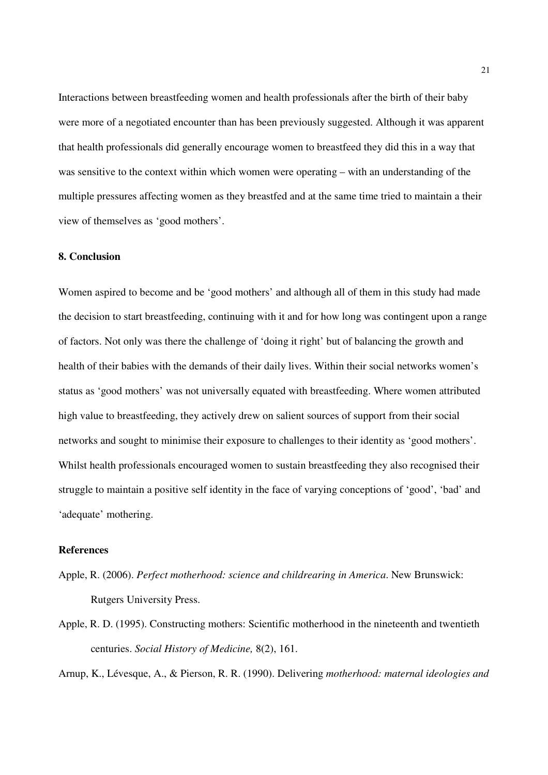Interactions between breastfeeding women and health professionals after the birth of their baby were more of a negotiated encounter than has been previously suggested. Although it was apparent that health professionals did generally encourage women to breastfeed they did this in a way that was sensitive to the context within which women were operating – with an understanding of the multiple pressures affecting women as they breastfed and at the same time tried to maintain a their view of themselves as 'good mothers'.

## **8. Conclusion**

Women aspired to become and be 'good mothers' and although all of them in this study had made the decision to start breastfeeding, continuing with it and for how long was contingent upon a range of factors. Not only was there the challenge of 'doing it right' but of balancing the growth and health of their babies with the demands of their daily lives. Within their social networks women's status as 'good mothers' was not universally equated with breastfeeding. Where women attributed high value to breastfeeding, they actively drew on salient sources of support from their social networks and sought to minimise their exposure to challenges to their identity as 'good mothers'. Whilst health professionals encouraged women to sustain breastfeeding they also recognised their struggle to maintain a positive self identity in the face of varying conceptions of 'good', 'bad' and 'adequate' mothering.

## **References**

- Apple, R. (2006). *Perfect motherhood: science and childrearing in America*. New Brunswick: Rutgers University Press.
- Apple, R. D. (1995). Constructing mothers: Scientific motherhood in the nineteenth and twentieth centuries. *Social History of Medicine,* 8(2), 161.

Arnup, K., Lévesque, A., & Pierson, R. R. (1990). Delivering *motherhood: maternal ideologies and*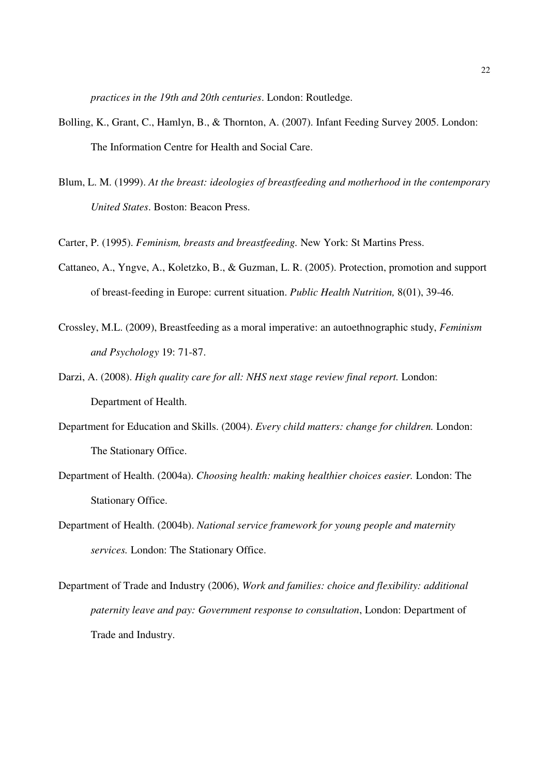*practices in the 19th and 20th centuries*. London: Routledge.

- Bolling, K., Grant, C., Hamlyn, B., & Thornton, A. (2007). Infant Feeding Survey 2005. London: The Information Centre for Health and Social Care.
- Blum, L. M. (1999). *At the breast: ideologies of breastfeeding and motherhood in the contemporary United States*. Boston: Beacon Press.

Carter, P. (1995). *Feminism, breasts and breastfeeding.* New York: St Martins Press.

- Cattaneo, A., Yngve, A., Koletzko, B., & Guzman, L. R. (2005). Protection, promotion and support of breast-feeding in Europe: current situation. *Public Health Nutrition,* 8(01), 39-46.
- Crossley, M.L. (2009), Breastfeeding as a moral imperative: an autoethnographic study, *Feminism and Psychology* 19: 71-87.
- Darzi, A. (2008). *High quality care for all: NHS next stage review final report*. London: Department of Health.
- Department for Education and Skills. (2004). *Every child matters: change for children.* London: The Stationary Office.
- Department of Health. (2004a). *Choosing health: making healthier choices easier.* London: The Stationary Office.
- Department of Health. (2004b). *National service framework for young people and maternity services.* London: The Stationary Office.
- Department of Trade and Industry (2006), *Work and families: choice and flexibility: additional paternity leave and pay: Government response to consultation*, London: Department of Trade and Industry.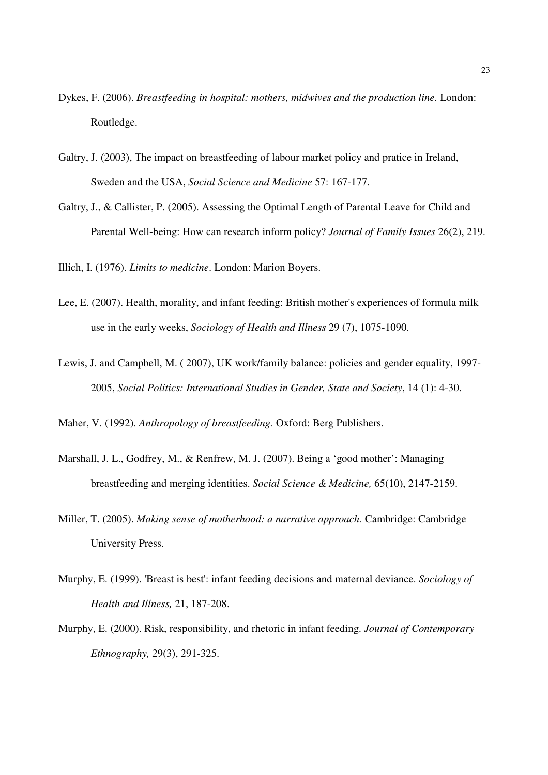- Dykes, F. (2006). *Breastfeeding in hospital: mothers, midwives and the production line.* London: Routledge.
- Galtry, J. (2003), The impact on breastfeeding of labour market policy and pratice in Ireland, Sweden and the USA, *Social Science and Medicine* 57: 167-177.
- Galtry, J., & Callister, P. (2005). Assessing the Optimal Length of Parental Leave for Child and Parental Well-being: How can research inform policy? *Journal of Family Issues* 26(2), 219.

Illich, I. (1976). *Limits to medicine*. London: Marion Boyers.

- Lee, E. (2007). Health, morality, and infant feeding: British mother's experiences of formula milk use in the early weeks, *Sociology of Health and Illness* 29 (7), 1075-1090.
- Lewis, J. and Campbell, M. ( 2007), UK work/family balance: policies and gender equality, 1997- 2005, *Social Politics: International Studies in Gender, State and Society*, 14 (1): 4-30.

Maher, V. (1992). *Anthropology of breastfeeding.* Oxford: Berg Publishers.

- Marshall, J. L., Godfrey, M., & Renfrew, M. J. (2007). Being a 'good mother': Managing breastfeeding and merging identities. *Social Science & Medicine,* 65(10), 2147-2159.
- Miller, T. (2005). *Making sense of motherhood: a narrative approach.* Cambridge: Cambridge University Press.
- Murphy, E. (1999). 'Breast is best': infant feeding decisions and maternal deviance. *Sociology of Health and Illness,* 21, 187-208.
- Murphy, E. (2000). Risk, responsibility, and rhetoric in infant feeding. *Journal of Contemporary Ethnography,* 29(3), 291-325.